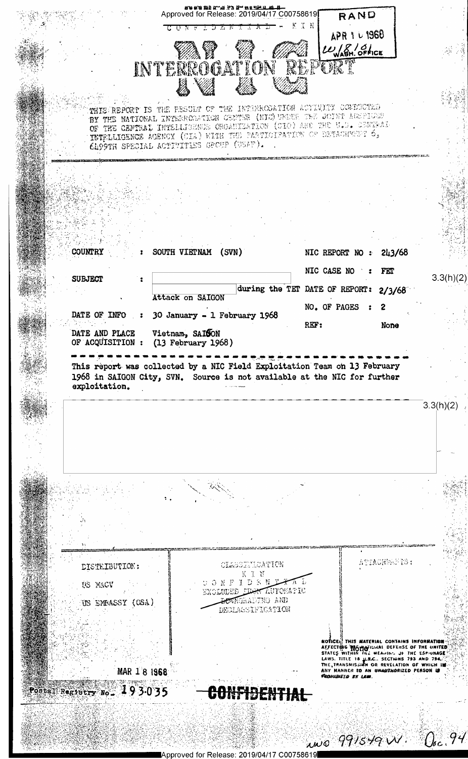Approved for Release: 2019/04/17 C00758619 RAND **KTN** ⋽ Ŧ, APR 1 L 1960  $\iota\iota_{\mathsf{WABH.}}$  OFFICE INTERROGATION TORT THIS REPORT IS THE PESULT OF THE INTERROGATION ACTIVITY CONDUCTED BY THE NATIONAL INTERNATION CENTER (NIC) UNDER THE JOINT AGENTICS OF THE CENTRAL INTERLIGENCE CROANIZATION (CIO) ARE THE U.S. CENTRAL INTELLIGENCE ACROSS ORGANIZATION (CIO) ARE THE U.S. CENTRAL CLOOTH SPECIAL ACTIVITIES GEOUP (USAF). **COUNTRY** SOUTH VIETNAM (SVN) NIC REPORT NO : 243/68  $\mathbf{r}$ NIC CASE NO : FET  $3.3(h)(2)$ **SUBJECT**  $\ddot{\phantom{a}}$ during the TET DATE OF REPORT:  $2/3/68$ Attack on SAIGON NO. OF PAGES  $\ddot{\phantom{1}}$  $\overline{2}$ DATE OF INFO 30 January - 1 February 1968  $\mathbf{z}$ REF: None DATE AND PLACE Vietnam, SAISON OF ACQUISITION : (13 February 1968) This report was collected by a NIC Field Exploitation Team on 13 February 1968 in SAIGON City, SVN. Source is not available at the NIC for further exploitation.  $3.3(h)(2)$ ATTACHEMETS: CLASSITICATION DISTRIBUTION: ONFIDENT US MACV LUDEE *STANTOMATIC* **BOWERANTNO AND** US EMBASSY (OSA) DEGLASSIFICATION NOTICE: THIS HATERIAL CONTAINS INFORMATION<br>AFFECTING TO MOMENT DEFENSE OF THE UNITED<br>STATES WITHIN THE MEANING IF THE ESPIUNAGE<br>LAWS. TITLE 18 U.S.C., SECTIONS 793 AND 794.<br>THE, TRANSMISSION OR REVELATION OF WHICH IN.<br>ANY MAR 1 8 1968 Postal Registry No. 493035 CONFIBENTIAL  $\omega$ o 991549 $\omega$ .  $0$ c 94

Approved for Release: 2019/04/17 C00758619